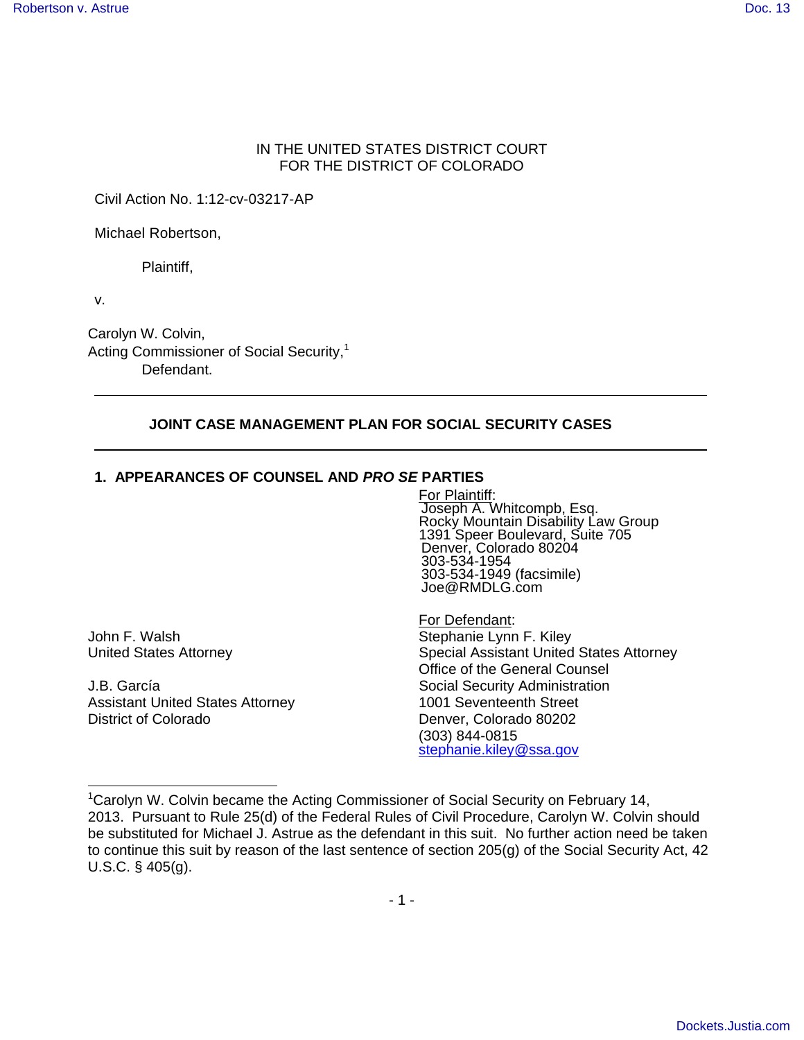## IN THE UNITED STATES DISTRICT COURT FOR THE DISTRICT OF COLORADO

Civil Action No. 1:12-cv-03217-AP

Michael Robertson,

Plaintiff,

v.

Carolyn W. Colvin, Acting Commissioner of Social Security,<sup>1</sup> Defendant.

## **JOINT CASE MANAGEMENT PLAN FOR SOCIAL SECURITY CASES**

#### **1. APPEARANCES OF COUNSEL AND PRO SE PARTIES**

For Plaintiff: Joseph A. Whitcompb, Esq. Rocky Mountain Disability Law Group 1391 Speer Boulevard, Suite 705 Denver, Colorado 80204 303-534-1954 303-534-1949 (facsimile) Joe@RMDLG.com

1

J.B. García Social Security Administration Assistant United States Attorney 1001 Seventeenth Street District of Colorado **Denver, Colorado 80202** 

For Defendant: John F. Walsh Stephanie Lynn F. Kiley United States Attorney Special Assistant United States Attorney Office of the General Counsel (303) 844-0815 stephanie.kiley@ssa.gov

<sup>&</sup>lt;sup>1</sup>Carolyn W. Colvin became the Acting Commissioner of Social Security on February 14, 2013. Pursuant to Rule 25(d) of the Federal Rules of Civil Procedure, Carolyn W. Colvin should be substituted for Michael J. Astrue as the defendant in this suit. No further action need be taken to continue this suit by reason of the last sentence of section 205(g) of the Social Security Act, 42 U.S.C. § 405(g).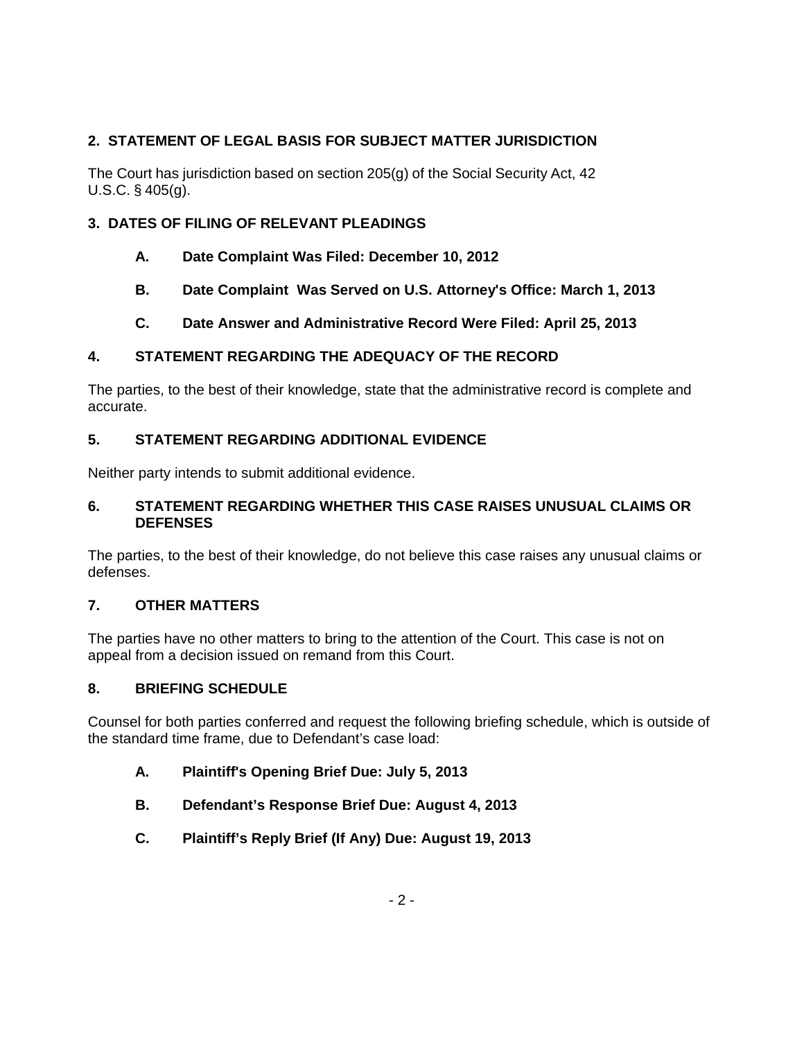# **2. STATEMENT OF LEGAL BASIS FOR SUBJECT MATTER JURISDICTION**

The Court has jurisdiction based on section 205(g) of the Social Security Act, 42 U.S.C. § 405(g).

# **3. DATES OF FILING OF RELEVANT PLEADINGS**

- **A. Date Complaint Was Filed: December 10, 2012**
- **B. Date Complaint Was Served on U.S. Attorney's Office: March 1, 2013**
- **C. Date Answer and Administrative Record Were Filed: April 25, 2013**

# **4. STATEMENT REGARDING THE ADEQUACY OF THE RECORD**

The parties, to the best of their knowledge, state that the administrative record is complete and accurate.

## **5. STATEMENT REGARDING ADDITIONAL EVIDENCE**

Neither party intends to submit additional evidence.

## **6. STATEMENT REGARDING WHETHER THIS CASE RAISES UNUSUAL CLAIMS OR DEFENSES**

The parties, to the best of their knowledge, do not believe this case raises any unusual claims or defenses.

## **7. OTHER MATTERS**

The parties have no other matters to bring to the attention of the Court. This case is not on appeal from a decision issued on remand from this Court.

## **8. BRIEFING SCHEDULE**

Counsel for both parties conferred and request the following briefing schedule, which is outside of the standard time frame, due to Defendant's case load:

- **A. Plaintiff's Opening Brief Due: July 5, 2013**
- **B. Defendant's Response Brief Due: August 4, 2013**
- **C. Plaintiff's Reply Brief (If Any) Due: August 19, 2013**